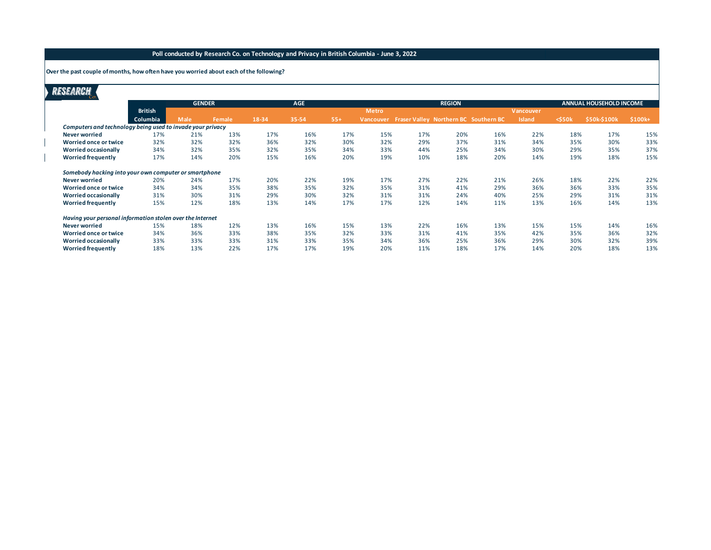**Over the past couple of months, how often have you worried about each of the following?**

# **RESEARCH**

| ww.                                                        |                |               |        |       |            |       |              |                                              |               |     |               |                                |              |          |  |
|------------------------------------------------------------|----------------|---------------|--------|-------|------------|-------|--------------|----------------------------------------------|---------------|-----|---------------|--------------------------------|--------------|----------|--|
|                                                            |                | <b>GENDER</b> |        |       | <b>AGE</b> |       |              |                                              | <b>REGION</b> |     |               | <b>ANNUAL HOUSEHOLD INCOME</b> |              |          |  |
|                                                            | <b>British</b> |               |        |       |            |       | <b>Metro</b> |                                              |               |     | Vancouver     |                                |              |          |  |
|                                                            | Columbia       | <b>Male</b>   | Female | 18-34 | 35-54      | $55+$ | Vancouver    | <b>Fraser Valley Northern BC Southern BC</b> |               |     | <b>Island</b> | $<$ \$50 $k$                   | \$50k-\$100k | $$100k+$ |  |
| Computers and technology being used to invade your privacy |                |               |        |       |            |       |              |                                              |               |     |               |                                |              |          |  |
| <b>Never worried</b>                                       | 17%            | 21%           | 13%    | 17%   | 16%        | 17%   | 15%          | 17%                                          | 20%           | 16% | 22%           | 18%                            | 17%          | 15%      |  |
| <b>Worried once or twice</b>                               | 32%            | 32%           | 32%    | 36%   | 32%        | 30%   | 32%          | 29%                                          | 37%           | 31% | 34%           | 35%                            | 30%          | 33%      |  |
| <b>Worried occasionally</b>                                | 34%            | 32%           | 35%    | 32%   | 35%        | 34%   | 33%          | 44%                                          | 25%           | 34% | 30%           | 29%                            | 35%          | 37%      |  |
| <b>Worried frequently</b>                                  | 17%            | 14%           | 20%    | 15%   | 16%        | 20%   | 19%          | 10%                                          | 18%           | 20% | 14%           | 19%                            | 18%          | 15%      |  |
| Somebody hacking into your own computer or smartphone      |                |               |        |       |            |       |              |                                              |               |     |               |                                |              |          |  |
| Never worried                                              | 20%            | 24%           | 17%    | 20%   | 22%        | 19%   | 17%          | 27%                                          | 22%           | 21% | 26%           | 18%                            | 22%          | 22%      |  |
| <b>Worried once or twice</b>                               | 34%            | 34%           | 35%    | 38%   | 35%        | 32%   | 35%          | 31%                                          | 41%           | 29% | 36%           | 36%                            | 33%          | 35%      |  |
| <b>Worried occasionally</b>                                | 31%            | 30%           | 31%    | 29%   | 30%        | 32%   | 31%          | 31%                                          | 24%           | 40% | 25%           | 29%                            | 31%          | 31%      |  |
| <b>Worried frequently</b>                                  | 15%            | 12%           | 18%    | 13%   | 14%        | 17%   | 17%          | 12%                                          | 14%           | 11% | 13%           | 16%                            | 14%          | 13%      |  |
| Having your personal information stolen over the Internet  |                |               |        |       |            |       |              |                                              |               |     |               |                                |              |          |  |
| <b>Never worried</b>                                       | 15%            | 18%           | 12%    | 13%   | 16%        | 15%   | 13%          | 22%                                          | 16%           | 13% | 15%           | 15%                            | 14%          | 16%      |  |
| <b>Worried once or twice</b>                               | 34%            | 36%           | 33%    | 38%   | 35%        | 32%   | 33%          | 31%                                          | 41%           | 35% | 42%           | 35%                            | 36%          | 32%      |  |
| <b>Worried occasionally</b>                                | 33%            | 33%           | 33%    | 31%   | 33%        | 35%   | 34%          | 36%                                          | 25%           | 36% | 29%           | 30%                            | 32%          | 39%      |  |
| <b>Worried frequently</b>                                  | 18%            | 13%           | 22%    | 17%   | 17%        | 19%   | 20%          | 11%                                          | 18%           | 17% | 14%           | 20%                            | 18%          | 13%      |  |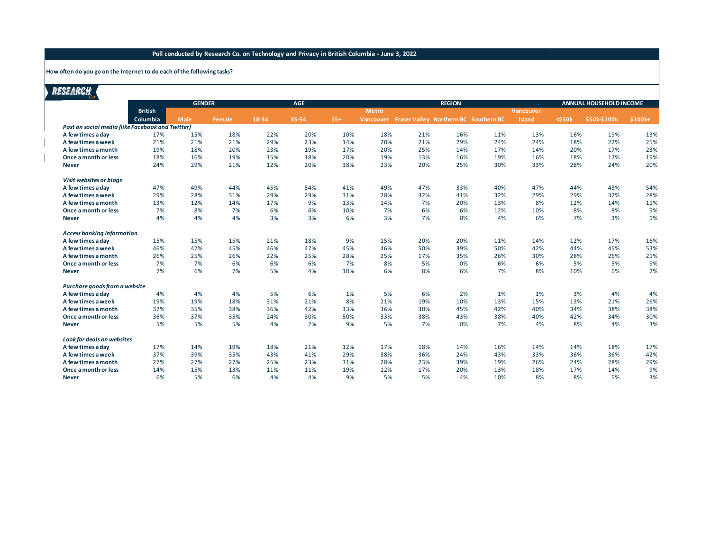#### **How often do you go on the Internet to do each of the following tasks?**

| <u>RESEARCH</u>                                  |                |               |        |       |            |       |              |                                       |               |     |           |              |                                |          |
|--------------------------------------------------|----------------|---------------|--------|-------|------------|-------|--------------|---------------------------------------|---------------|-----|-----------|--------------|--------------------------------|----------|
|                                                  |                | <b>GENDER</b> |        |       | <b>AGE</b> |       |              |                                       | <b>REGION</b> |     |           |              | <b>ANNUAL HOUSEHOLD INCOME</b> |          |
|                                                  | <b>British</b> |               |        |       |            |       | <b>Metro</b> |                                       |               |     | Vancouver |              |                                |          |
|                                                  | Columbia       | <b>Male</b>   | Female | 18-34 | 35-54      | $55+$ | Vancouver    | Fraser Valley Northern BC Southern BC |               |     | Island    | $<$ \$50 $k$ | \$50k-\$100k                   | $$100k+$ |
| Post on social media (like Facebook and Twitter) |                |               |        |       |            |       |              |                                       |               |     |           |              |                                |          |
| A few times a day                                | 17%            | 15%           | 18%    | 22%   | 20%        | 10%   | 18%          | 21%                                   | 16%           | 11% | 13%       | 16%          | 19%                            | 13%      |
| A few times a week                               | 21%            | 21%           | 21%    | 29%   | 23%        | 14%   | 20%          | 21%                                   | 29%           | 24% | 24%       | 18%          | 22%                            | 25%      |
| A few times a month                              | 19%            | 18%           | 20%    | 23%   | 19%        | 17%   | 20%          | 25%                                   | 14%           | 17% | 14%       | 20%          | 17%                            | 23%      |
| Once a month or less                             | 18%            | 16%           | 19%    | 15%   | 18%        | 20%   | 19%          | 13%                                   | 16%           | 19% | 16%       | 18%          | 17%                            | 19%      |
| <b>Never</b>                                     | 24%            | 29%           | 21%    | 12%   | 20%        | 38%   | 23%          | 20%                                   | 25%           | 30% | 33%       | 28%          | 24%                            | 20%      |
| Visit websites or blogs                          |                |               |        |       |            |       |              |                                       |               |     |           |              |                                |          |
| A few times a day                                | 47%            | 49%           | 44%    | 45%   | 54%        | 41%   | 49%          | 47%                                   | 33%           | 40% | 47%       | 44%          | 43%                            | 54%      |
| A few times a week                               | 29%            | 28%           | 31%    | 29%   | 29%        | 31%   | 28%          | 32%                                   | 41%           | 32% | 29%       | 29%          | 32%                            | 28%      |
| A few times a month                              | 13%            | 12%           | 14%    | 17%   | 9%         | 13%   | 14%          | 7%                                    | 20%           | 13% | 8%        | 12%          | 14%                            | 11%      |
| Once a month or less                             | 7%             | 8%            | 7%     | 6%    | 6%         | 10%   | 7%           | 6%                                    | 6%            | 12% | 10%       | 8%           | 8%                             | 5%       |
| <b>Never</b>                                     | 4%             | 4%            | 4%     | 3%    | 3%         | 6%    | 3%           | 7%                                    | 0%            | 4%  | 6%        | 7%           | 3%                             | 1%       |
| <b>Access banking information</b>                |                |               |        |       |            |       |              |                                       |               |     |           |              |                                |          |
| A few times a day                                | 15%            | 15%           | 15%    | 21%   | 18%        | 9%    | 15%          | 20%                                   | 20%           | 11% | 14%       | 12%          | 17%                            | 16%      |
| A few times a week                               | 46%            | 47%           | 45%    | 46%   | 47%        | 45%   | 46%          | 50%                                   | 39%           | 50% | 42%       | 44%          | 45%                            | 53%      |
| A few times a month                              | 26%            | 25%           | 26%    | 22%   | 25%        | 28%   | 25%          | 17%                                   | 35%           | 26% | 30%       | 28%          | 26%                            | 21%      |
| Once a month or less                             | 7%             | 7%            | 6%     | 6%    | 6%         | 7%    | 8%           | 5%                                    | 0%            | 6%  | 6%        | 5%           | 5%                             | 9%       |
| <b>Never</b>                                     | 7%             | 6%            | 7%     | 5%    | 4%         | 10%   | 6%           | 8%                                    | 6%            | 7%  | 8%        | 10%          | 6%                             | 2%       |
| Purchase goods from a website                    |                |               |        |       |            |       |              |                                       |               |     |           |              |                                |          |
| A few times a day                                | 4%             | 4%            | 4%     | 5%    | 6%         | 1%    | 5%           | 6%                                    | 2%            | 1%  | 1%        | 3%           | 4%                             | 4%       |
| A few times a week                               | 19%            | 19%           | 18%    | 31%   | 21%        | 8%    | 21%          | 19%                                   | 10%           | 13% | 15%       | 13%          | 21%                            | 26%      |
| A few times a month                              | 37%            | 35%           | 38%    | 36%   | 42%        | 33%   | 36%          | 30%                                   | 45%           | 42% | 40%       | 34%          | 38%                            | 38%      |
| Once a month or less                             | 36%            | 37%           | 35%    | 24%   | 30%        | 50%   | 33%          | 38%                                   | 43%           | 38% | 40%       | 42%          | 34%                            | 30%      |
| <b>Never</b>                                     | 5%             | 5%            | 5%     | 4%    | 2%         | 9%    | 5%           | 7%                                    | 0%            | 7%  | 4%        | 8%           | 4%                             | 3%       |
| Look for deals on websites                       |                |               |        |       |            |       |              |                                       |               |     |           |              |                                |          |
| A few times a day                                | 17%            | 14%           | 19%    | 18%   | 21%        | 12%   | 17%          | 18%                                   | 14%           | 16% | 14%       | 14%          | 18%                            | 17%      |
| A few times a week                               | 37%            | 39%           | 35%    | 43%   | 41%        | 29%   | 38%          | 36%                                   | 24%           | 43% | 33%       | 36%          | 36%                            | 42%      |
| A few times a month                              | 27%            | 27%           | 27%    | 25%   | 23%        | 31%   | 28%          | 23%                                   | 39%           | 19% | 26%       | 24%          | 28%                            | 29%      |
| Once a month or less                             | 14%            | 15%           | 13%    | 11%   | 11%        | 19%   | 12%          | 17%                                   | 20%           | 13% | 18%       | 17%          | 14%                            | 9%       |
| <b>Never</b>                                     | 6%             | 5%            | 6%     | 4%    | 4%         | 9%    | 5%           | 5%                                    | 4%            | 10% | 8%        | 8%           | 5%                             | 3%       |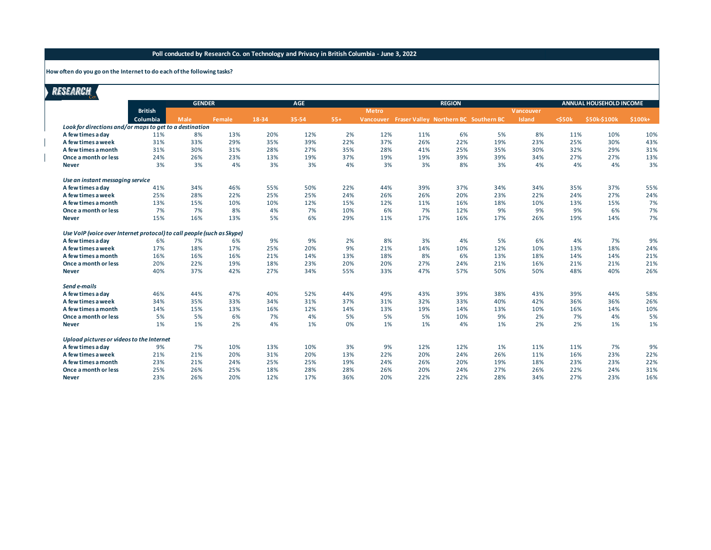## **How often do you go on the Internet to do each of the following tasks?**

**Contract Contract Contract** 

| <i><b>RESEARCH</b></i>                                                 |                |               |        |       |            |       |                  |                                       |               |     |           |                                |              |          |  |
|------------------------------------------------------------------------|----------------|---------------|--------|-------|------------|-------|------------------|---------------------------------------|---------------|-----|-----------|--------------------------------|--------------|----------|--|
|                                                                        |                | <b>GENDER</b> |        |       | <b>AGE</b> |       |                  |                                       | <b>REGION</b> |     |           | <b>ANNUAL HOUSEHOLD INCOME</b> |              |          |  |
|                                                                        | <b>British</b> |               |        |       |            |       | <b>Metro</b>     |                                       |               |     | Vancouver |                                |              |          |  |
|                                                                        | Columbia       | <b>Male</b>   | Female | 18-34 | 35-54      | $55+$ | <b>Vancouver</b> | Fraser Valley Northern BC Southern BC |               |     | Island    | $<$ \$50 $k$                   | \$50k-\$100k | $$100k+$ |  |
| Look for directions and/or maps to get to a destination                |                |               |        |       |            |       |                  |                                       |               |     |           |                                |              |          |  |
| A few times a day                                                      | 11%            | 8%            | 13%    | 20%   | 12%        | 2%    | 12%              | 11%                                   | 6%            | 5%  | 8%        | 11%                            | 10%          | 10%      |  |
| A few times a week                                                     | 31%            | 33%           | 29%    | 35%   | 39%        | 22%   | 37%              | 26%                                   | 22%           | 19% | 23%       | 25%                            | 30%          | 43%      |  |
| A few times a month                                                    | 31%            | 30%           | 31%    | 28%   | 27%        | 35%   | 28%              | 41%                                   | 25%           | 35% | 30%       | 32%                            | 29%          | 31%      |  |
| Once a month or less                                                   | 24%            | 26%           | 23%    | 13%   | 19%        | 37%   | 19%              | 19%                                   | 39%           | 39% | 34%       | 27%                            | 27%          | 13%      |  |
| <b>Never</b>                                                           | 3%             | 3%            | 4%     | 3%    | 3%         | 4%    | 3%               | 3%                                    | 8%            | 3%  | 4%        | 4%                             | 4%           | 3%       |  |
| Use an instant messaging service                                       |                |               |        |       |            |       |                  |                                       |               |     |           |                                |              |          |  |
| A few times a day                                                      | 41%            | 34%           | 46%    | 55%   | 50%        | 22%   | 44%              | 39%                                   | 37%           | 34% | 34%       | 35%                            | 37%          | 55%      |  |
| A few times a week                                                     | 25%            | 28%           | 22%    | 25%   | 25%        | 24%   | 26%              | 26%                                   | 20%           | 23% | 22%       | 24%                            | 27%          | 24%      |  |
| A few times a month                                                    | 13%            | 15%           | 10%    | 10%   | 12%        | 15%   | 12%              | 11%                                   | 16%           | 18% | 10%       | 13%                            | 15%          | 7%       |  |
| Once a month or less                                                   | 7%             | 7%            | 8%     | 4%    | 7%         | 10%   | 6%               | 7%                                    | 12%           | 9%  | 9%        | 9%                             | 6%           | 7%       |  |
| <b>Never</b>                                                           | 15%            | 16%           | 13%    | 5%    | 6%         | 29%   | 11%              | 17%                                   | 16%           | 17% | 26%       | 19%                            | 14%          | 7%       |  |
| Use VoIP (voice over Internet protocol) to call people (such as Skype) |                |               |        |       |            |       |                  |                                       |               |     |           |                                |              |          |  |
| A few times a day                                                      | 6%             | 7%            | 6%     | 9%    | 9%         | 2%    | 8%               | 3%                                    | 4%            | 5%  | 6%        | 4%                             | 7%           | 9%       |  |
| A few times a week                                                     | 17%            | 18%           | 17%    | 25%   | 20%        | 9%    | 21%              | 14%                                   | 10%           | 12% | 10%       | 13%                            | 18%          | 24%      |  |
| A few times a month                                                    | 16%            | 16%           | 16%    | 21%   | 14%        | 13%   | 18%              | 8%                                    | 6%            | 13% | 18%       | 14%                            | 14%          | 21%      |  |
| Once a month or less                                                   | 20%            | 22%           | 19%    | 18%   | 23%        | 20%   | 20%              | 27%                                   | 24%           | 21% | 16%       | 21%                            | 21%          | 21%      |  |
| <b>Never</b>                                                           | 40%            | 37%           | 42%    | 27%   | 34%        | 55%   | 33%              | 47%                                   | 57%           | 50% | 50%       | 48%                            | 40%          | 26%      |  |
| Send e-mails                                                           |                |               |        |       |            |       |                  |                                       |               |     |           |                                |              |          |  |
| A few times a day                                                      | 46%            | 44%           | 47%    | 40%   | 52%        | 44%   | 49%              | 43%                                   | 39%           | 38% | 43%       | 39%                            | 44%          | 58%      |  |
| A few times a week                                                     | 34%            | 35%           | 33%    | 34%   | 31%        | 37%   | 31%              | 32%                                   | 33%           | 40% | 42%       | 36%                            | 36%          | 26%      |  |
| A few times a month                                                    | 14%            | 15%           | 13%    | 16%   | 12%        | 14%   | 13%              | 19%                                   | 14%           | 13% | 10%       | 16%                            | 14%          | 10%      |  |
| Once a month or less                                                   | 5%             | 5%            | 6%     | 7%    | 4%         | 5%    | 5%               | 5%                                    | 10%           | 9%  | 2%        | 7%                             | 4%           | 5%       |  |
| <b>Never</b>                                                           | 1%             | 1%            | 2%     | 4%    | 1%         | 0%    | 1%               | 1%                                    | 4%            | 1%  | 2%        | 2%                             | 1%           | 1%       |  |
| Upload pictures or videos to the Internet                              |                |               |        |       |            |       |                  |                                       |               |     |           |                                |              |          |  |
| A few times a day                                                      | 9%             | 7%            | 10%    | 13%   | 10%        | 3%    | 9%               | 12%                                   | 12%           | 1%  | 11%       | 11%                            | 7%           | 9%       |  |
| A few times a week                                                     | 21%            | 21%           | 20%    | 31%   | 20%        | 13%   | 22%              | 20%                                   | 24%           | 26% | 11%       | 16%                            | 23%          | 22%      |  |
| A few times a month                                                    | 23%            | 21%           | 24%    | 25%   | 25%        | 19%   | 24%              | 26%                                   | 20%           | 19% | 18%       | 23%                            | 23%          | 22%      |  |
| Once a month or less                                                   | 25%            | 26%           | 25%    | 18%   | 28%        | 28%   | 26%              | 20%                                   | 24%           | 27% | 26%       | 22%                            | 24%          | 31%      |  |
| <b>Never</b>                                                           | 23%            | 26%           | 20%    | 12%   | 17%        | 36%   | 20%              | 22%                                   | 22%           | 28% | 34%       | 27%                            | 23%          | 16%      |  |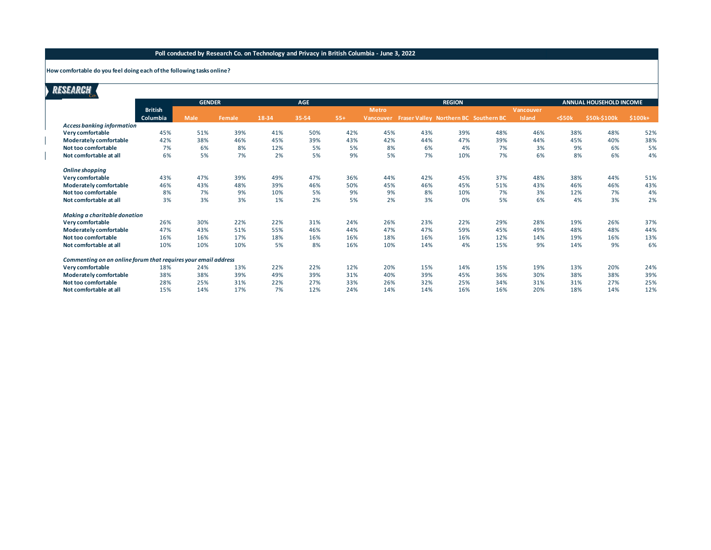**How comfortable do you feel doing each of the following tasks online?**

| RESEARCH                                                       |                |               |         |       |            |       |                  |                                              |               |     |           |            |                         |         |
|----------------------------------------------------------------|----------------|---------------|---------|-------|------------|-------|------------------|----------------------------------------------|---------------|-----|-----------|------------|-------------------------|---------|
|                                                                |                | <b>GENDER</b> |         |       | <b>AGE</b> |       |                  |                                              | <b>REGION</b> |     |           |            | ANNUAL HOUSEHOLD INCOME |         |
|                                                                | <b>British</b> |               |         |       |            |       | <b>Metro</b>     |                                              |               |     | Vancouver |            |                         |         |
|                                                                | Columbia       | Male          | Female, | 18-34 | 35-54      | $55+$ | <b>Vancouver</b> | <b>Fraser Valley Northern BC Southern BC</b> |               |     | Island    | $<$ 50 $k$ | \$50k-\$100k            | \$100k+ |
| <b>Access banking information</b>                              |                |               |         |       |            |       |                  |                                              |               |     |           |            |                         |         |
| Very comfortable                                               | 45%            | 51%           | 39%     | 41%   | 50%        | 42%   | 45%              | 43%                                          | 39%           | 48% | 46%       | 38%        | 48%                     | 52%     |
| Moderately comfortable                                         | 42%            | 38%           | 46%     | 45%   | 39%        | 43%   | 42%              | 44%                                          | 47%           | 39% | 44%       | 45%        | 40%                     | 38%     |
| Not too comfortable                                            | 7%             | 6%            | 8%      | 12%   | 5%         | 5%    | 8%               | 6%                                           | 4%            | 7%  | 3%        | 9%         | 6%                      | 5%      |
| Not comfortable at all                                         | 6%             | 5%            | 7%      | 2%    | 5%         | 9%    | 5%               | 7%                                           | 10%           | 7%  | 6%        | 8%         | 6%                      | 4%      |
| Online shopping                                                |                |               |         |       |            |       |                  |                                              |               |     |           |            |                         |         |
| Very comfortable                                               | 43%            | 47%           | 39%     | 49%   | 47%        | 36%   | 44%              | 42%                                          | 45%           | 37% | 48%       | 38%        | 44%                     | 51%     |
| Moderately comfortable                                         | 46%            | 43%           | 48%     | 39%   | 46%        | 50%   | 45%              | 46%                                          | 45%           | 51% | 43%       | 46%        | 46%                     | 43%     |
| Not too comfortable                                            | 8%             | 7%            | 9%      | 10%   | 5%         | 9%    | 9%               | 8%                                           | 10%           | 7%  | 3%        | 12%        | 7%                      | 4%      |
| Not comfortable at all                                         | 3%             | 3%            | 3%      | 1%    | 2%         | 5%    | 2%               | 3%                                           | 0%            | 5%  | 6%        | 4%         | 3%                      | 2%      |
| <b>Making a charitable donation</b>                            |                |               |         |       |            |       |                  |                                              |               |     |           |            |                         |         |
| Very comfortable                                               | 26%            | 30%           | 22%     | 22%   | 31%        | 24%   | 26%              | 23%                                          | 22%           | 29% | 28%       | 19%        | 26%                     | 37%     |
| Moderately comfortable                                         | 47%            | 43%           | 51%     | 55%   | 46%        | 44%   | 47%              | 47%                                          | 59%           | 45% | 49%       | 48%        | 48%                     | 44%     |
| Not too comfortable                                            | 16%            | 16%           | 17%     | 18%   | 16%        | 16%   | 18%              | 16%                                          | 16%           | 12% | 14%       | 19%        | 16%                     | 13%     |
| Not comfortable at all                                         | 10%            | 10%           | 10%     | 5%    | 8%         | 16%   | 10%              | 14%                                          | 4%            | 15% | 9%        | 14%        | 9%                      | 6%      |
| Commenting on an online forum that requires your email address |                |               |         |       |            |       |                  |                                              |               |     |           |            |                         |         |
| Very comfortable                                               | 18%            | 24%           | 13%     | 22%   | 22%        | 12%   | 20%              | 15%                                          | 14%           | 15% | 19%       | 13%        | 20%                     | 24%     |
| Moderately comfortable                                         | 38%            | 38%           | 39%     | 49%   | 39%        | 31%   | 40%              | 39%                                          | 45%           | 36% | 30%       | 38%        | 38%                     | 39%     |
| Not too comfortable                                            | 28%            | 25%           | 31%     | 22%   | 27%        | 33%   | 26%              | 32%                                          | 25%           | 34% | 31%       | 31%        | 27%                     | 25%     |
| Not comfortable at all                                         | 15%            | 14%           | 17%     | 7%    | 12%        | 24%   | 14%              | 14%                                          | 16%           | 16% | 20%       | 18%        | 14%                     | 12%     |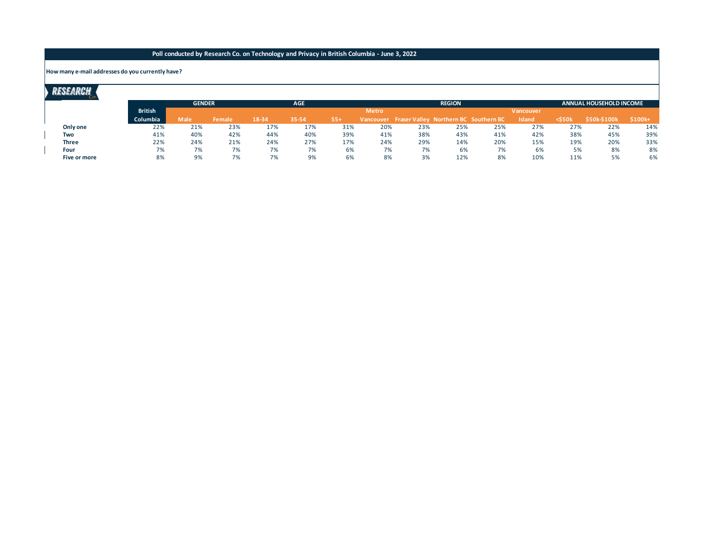## **How many e-mail addresses do you currently have?**

# RESEARCH

|                | <b>GENDER</b> |               |       |       | <b>AGE</b><br><b>REGION</b> |              |     |     |     |                                                        |        |              | ANNUAL HOUSEHOLD INCOME |  |  |  |  |
|----------------|---------------|---------------|-------|-------|-----------------------------|--------------|-----|-----|-----|--------------------------------------------------------|--------|--------------|-------------------------|--|--|--|--|
| <b>British</b> |               |               |       |       |                             | <b>Metro</b> |     |     |     | <b>Vancouver</b>                                       |        |              |                         |  |  |  |  |
| Columbia       | Male          | <b>Female</b> | 18-34 | 35-54 | $55+$                       |              |     |     |     | <b>Island</b>                                          | <\$50k | \$50k-\$100k | \$100k+                 |  |  |  |  |
| 22%            | 21%           | 23%           | 17%   | 17%   | 31%                         | 20%          | 23% |     | 25% | 27%                                                    | 27%    | 22%          | 14%                     |  |  |  |  |
| 41%            | 40%           | 42%           | 44%   | 40%   | 39%                         | 41%          | 38% | 43% | 41% | 42%                                                    | 38%    | 45%          | 39%                     |  |  |  |  |
| 22%            | 24%           | 21%           | 24%   | 27%   | 17%                         | 24%          | 29% | 14% | 20% | 15%                                                    | 19%    | 20%          | 33%                     |  |  |  |  |
| 7%             | 7%            | 7%            | 7%    | 7%    | 6%                          |              | 7%  | 6%  | 7%  | 6%                                                     | 5%     | 8%           | 8%                      |  |  |  |  |
| 8%             | 9%            | 7%            | 7%    | 9%    | 6%                          | 8%           | 3%  | 12% | 8%  | 10%                                                    | 11%    | 5%           | 6%                      |  |  |  |  |
|                |               |               |       |       |                             |              | 7%  |     |     | Vancouver Fraser Valley Northern BC Southern BC<br>25% |        |              |                         |  |  |  |  |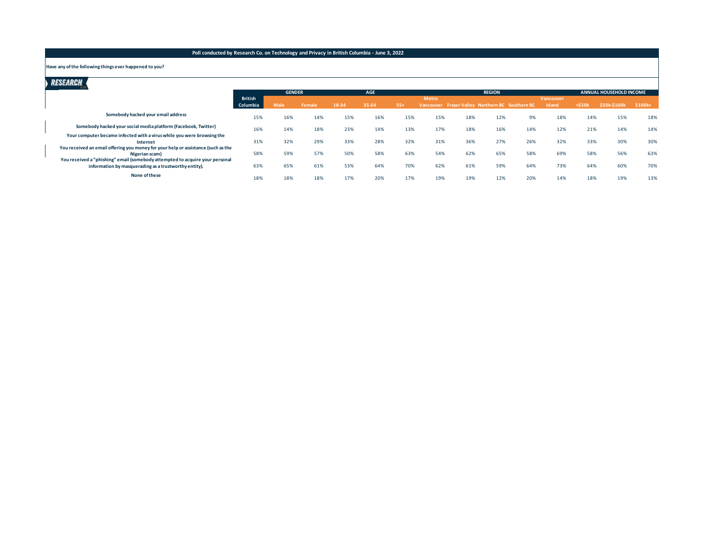#### **Have any of the following things ever happened to you?**

| <b>RESEARCH</b>                                                                   |                |               |        |       |            |       |              |                                                 |               |     |           |             |                         |          |
|-----------------------------------------------------------------------------------|----------------|---------------|--------|-------|------------|-------|--------------|-------------------------------------------------|---------------|-----|-----------|-------------|-------------------------|----------|
|                                                                                   |                | <b>GENDER</b> |        |       | <b>AGE</b> |       |              |                                                 | <b>REGION</b> |     |           |             | ANNUAL HOUSEHOLD INCOME |          |
|                                                                                   | <b>British</b> |               |        |       |            |       | <b>Metro</b> |                                                 |               |     | Vancouver |             |                         |          |
|                                                                                   | Columbia       | <b>Male</b>   | Female | 18-34 | 35-54      | $55+$ |              | Vancouver Fraser Valley Northern BC Southern BC |               |     | Island    | $<$ 550 $k$ | \$50k-\$100k            | $$100k+$ |
| Somebody hacked your email address                                                | 15%            | 16%           | 14%    | 15%   | 16%        | 15%   | 15%          | 18%                                             | 12%           | 9%  | 18%       | 14%         | 15%                     | 18%      |
| Somebody hacked your social media platform (Facebook, Twitter)                    | 16%            | 14%           | 18%    | 23%   | 14%        | 13%   | 17%          | 18%                                             | 16%           | 14% | 12%       | 21%         | 14%                     | 14%      |
| Your computer became infected with a virus while you were browsing the            |                |               |        |       |            |       |              |                                                 |               |     |           |             |                         |          |
| Internet                                                                          | 31%            | 32%           | 29%    | 33%   | 28%        | 32%   | 31%          | 36%                                             | 27%           | 26% | 32%       | 33%         | 30%                     | 30%      |
| You received an email offering you money for your help or assistance (such as the |                |               |        |       |            |       |              |                                                 |               |     |           |             |                         |          |
| Nigerian scam)                                                                    | 58%            | 59%           | 57%    | 50%   | 58%        | 63%   | 54%          | 62%                                             | 65%           | 58% | 69%       | 58%         | 56%                     | 63%      |
| You received a "phishing" email (somebody attempted to acquire your personal      |                |               |        |       |            |       |              |                                                 |               |     |           |             |                         |          |
| information by masquerading as a trustworthy entity).                             | 63%            | 65%           | 61%    | 53%   | 64%        | 70%   | 62%          | 61%                                             | 59%           | 64% | 73%       | 64%         | 60%                     | 70%      |
| None of these                                                                     | 18%            | 18%           | 18%    | 17%   | 20%        | 17%   | 19%          | 19%                                             | 12%           | 20% | 14%       | 18%         | 19%                     | 13%      |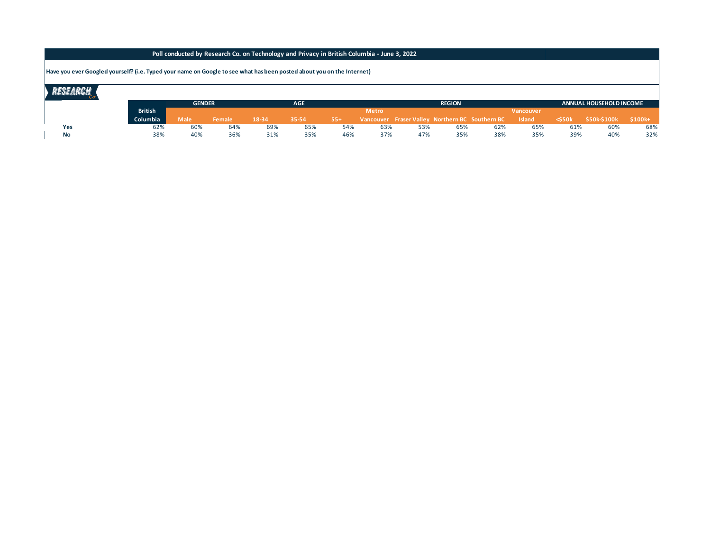## **Have you ever Googled yourself? (i.e. Typed your name on Google to see what has been posted about you on the Internet)**

|     |                | <b>GENDER</b> |        |       | <b>AGE</b> |       |              |     | <b>REGION</b> |                                                 |                  |        | ANNUAL HOUSEHOLD INCOME |          |
|-----|----------------|---------------|--------|-------|------------|-------|--------------|-----|---------------|-------------------------------------------------|------------------|--------|-------------------------|----------|
|     | <b>British</b> |               |        |       |            |       | <b>Metro</b> |     |               |                                                 | <b>Vancouver</b> |        |                         |          |
|     | Columbia       | <b>Male</b>   | Female | 18-34 | 35-54      | $55+$ |              |     |               | Vancouver Fraser Valley Northern BC Southern BC | Island           | <\$50k | S50k-\$100k             | $$100k+$ |
| Yes | 62%            | 60%           | 64%    | 69%   | 65%        | 54%   | 63%          | 53% | 65%           | 62%                                             | 65%              | 61%    | 60%                     | 68%      |
| No  | 38%            | 40%           | 36%    | 31%   | 35%        | 46%   | 37%          | 47% | 35%           | 38%                                             | 35%              | 39%    | 40%                     | 32%      |